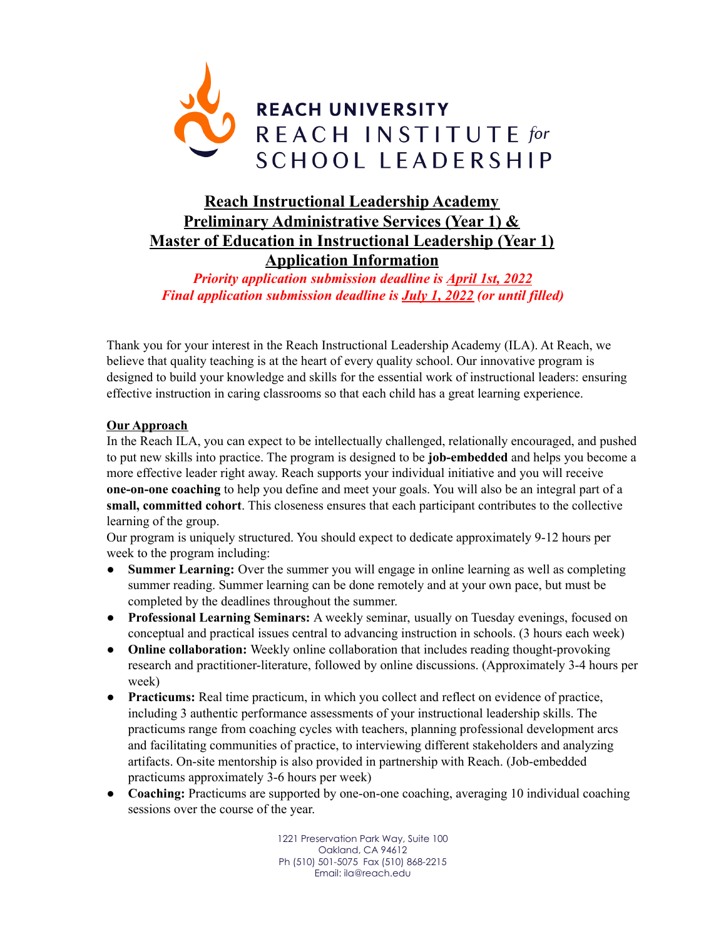

# **Reach Instructional Leadership Academy Preliminary Administrative Services (Year 1) & Master of Education in Instructional Leadership (Year 1) Application Information**

*Priority application submission deadline is April 1st, 2022 Final application submission deadline is July 1, 2022 (or until filled)*

Thank you for your interest in the Reach Instructional Leadership Academy (ILA). At Reach, we believe that quality teaching is at the heart of every quality school. Our innovative program is designed to build your knowledge and skills for the essential work of instructional leaders: ensuring effective instruction in caring classrooms so that each child has a great learning experience.

## **Our Approach**

In the Reach ILA, you can expect to be intellectually challenged, relationally encouraged, and pushed to put new skills into practice. The program is designed to be **job-embedded** and helps you become a more effective leader right away. Reach supports your individual initiative and you will receive **one-on-one coaching** to help you define and meet your goals. You will also be an integral part of a **small, committed cohort**. This closeness ensures that each participant contributes to the collective learning of the group.

Our program is uniquely structured. You should expect to dedicate approximately 9-12 hours per week to the program including:

- **Summer Learning:** Over the summer you will engage in online learning as well as completing summer reading. Summer learning can be done remotely and at your own pace, but must be completed by the deadlines throughout the summer.
- **Professional Learning Seminars:** A weekly seminar, usually on Tuesday evenings, focused on conceptual and practical issues central to advancing instruction in schools. (3 hours each week)
- **Online collaboration:** Weekly online collaboration that includes reading thought-provoking research and practitioner-literature, followed by online discussions. (Approximately 3-4 hours per week)
- **Practicums:** Real time practicum, in which you collect and reflect on evidence of practice, including 3 authentic performance assessments of your instructional leadership skills. The practicums range from coaching cycles with teachers, planning professional development arcs and facilitating communities of practice, to interviewing different stakeholders and analyzing artifacts. On-site mentorship is also provided in partnership with Reach. (Job-embedded practicums approximately 3-6 hours per week)
- **Coaching:** Practicums are supported by one-on-one coaching, averaging 10 individual coaching sessions over the course of the year.

1221 Preservation Park Way, Suite 100 Oakland, CA 94612 Ph (510) 501-5075 Fax (510) 868-2215 Email: ila@reach.edu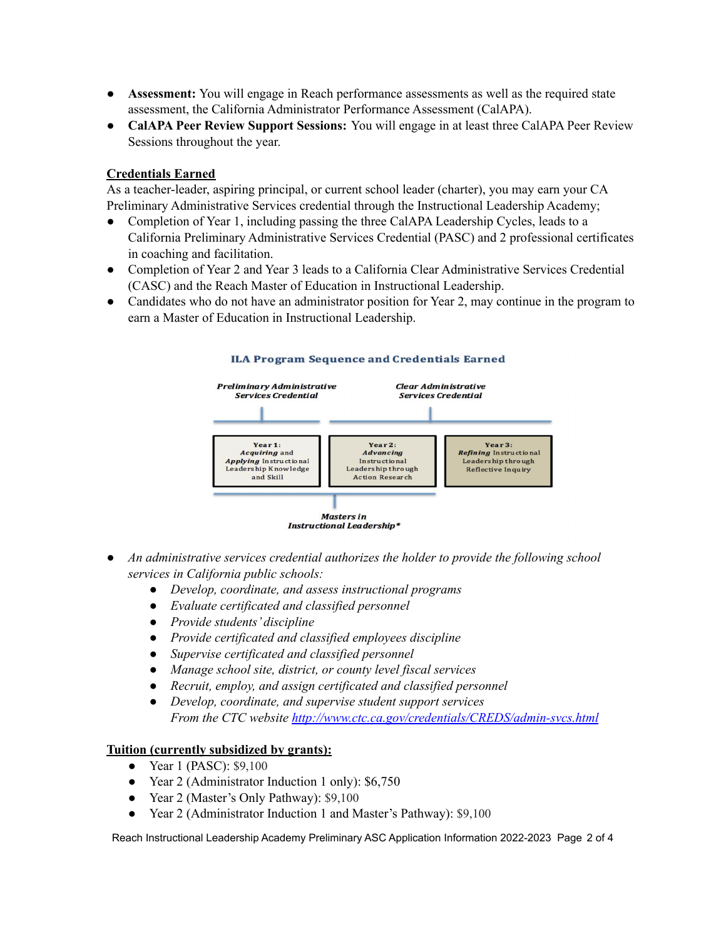- **Assessment:** You will engage in Reach performance assessments as well as the required state assessment, the California Administrator Performance Assessment (CalAPA).
- **● CalAPA Peer Review Support Sessions:** You will engage in at least three CalAPA Peer Review Sessions throughout the year.

# **Credentials Earned**

As a teacher-leader, aspiring principal, or current school leader (charter), you may earn your CA Preliminary Administrative Services credential through the Instructional Leadership Academy;

- Completion of Year 1, including passing the three CalAPA Leadership Cycles, leads to a California Preliminary Administrative Services Credential (PASC) and 2 professional certificates in coaching and facilitation.
- Completion of Year 2 and Year 3 leads to a California Clear Administrative Services Credential (CASC) and the Reach Master of Education in Instructional Leadership.
- Candidates who do not have an administrator position for Year 2, may continue in the program to earn a Master of Education in Instructional Leadership.



- *● An administrative services credential authorizes the holder to provide the following school services in California public schools:*
	- *● Develop, coordinate, and assess instructional programs*
	- *● Evaluate certificated and classified personnel*
	- *● Provide students' discipline*
	- *● Provide certificated and classified employees discipline*
	- *● Supervise certificated and classified personnel*
	- *● Manage school site, district, or county level fiscal services*
	- *● Recruit, employ, and assign certificated and classified personnel*
	- *● Develop, coordinate, and supervise student support services From the CTC website <http://www.ctc.ca.gov/credentials/CREDS/admin-svcs.html>*

# **Tuition (currently subsidized by grants):**

- Year 1 (PASC): \$9,100
- Year 2 (Administrator Induction 1 only): \$6,750
- Year 2 (Master's Only Pathway): \$9,100
- Year 2 (Administrator Induction 1 and Master's Pathway): \$9,100

Reach Instructional Leadership Academy Preliminary ASC Application Information 2022-2023 Page 2 of 4

#### **ILA Program Sequence and Credentials Earned**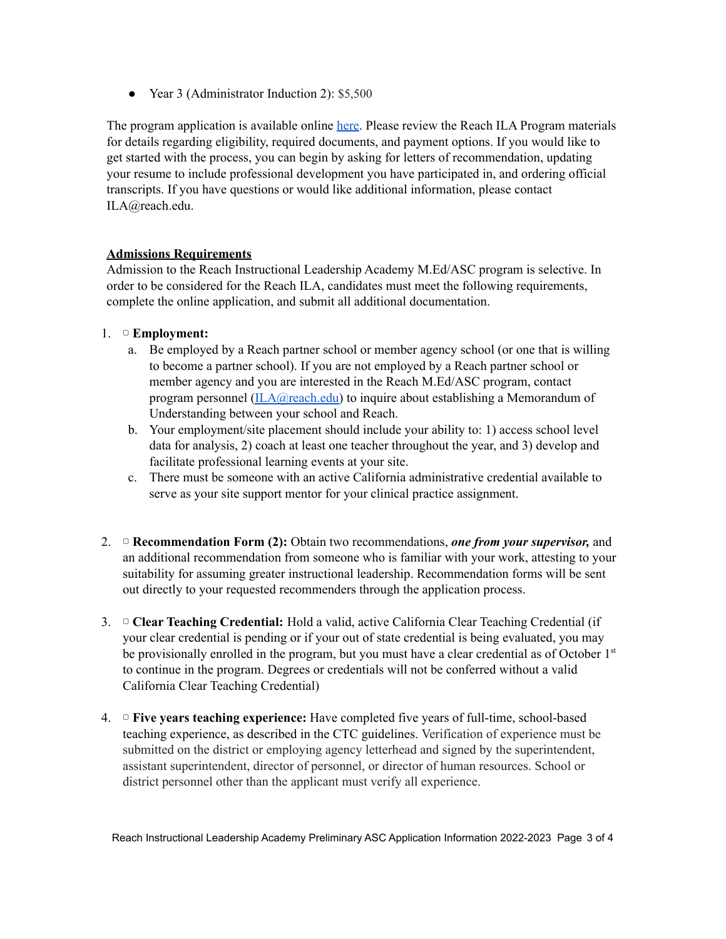● Year 3 (Administrator Induction 2): \$5,500

The program application is available online [here](https://grad.apply.reach.edu/). Please review the Reach ILA Program materials for details regarding eligibility, required documents, and payment options. If you would like to get started with the process, you can begin by asking for letters of recommendation, updating your resume to include professional development you have participated in, and ordering official transcripts. If you have questions or would like additional information, please contact ILA@reach.edu.

## **Admissions Requirements**

Admission to the Reach Instructional Leadership Academy M.Ed/ASC program is selective. In order to be considered for the Reach ILA, candidates must meet the following requirements, complete the online application, and submit all additional documentation.

## 1. ▢ **Employment:**

- a. Be employed by a Reach partner school or member agency school (or one that is willing to become a partner school). If you are not employed by a Reach partner school or member agency and you are interested in the Reach M.Ed/ASC program, contact program personnel [\(ILA@reach.edu\)](mailto:ILA@reach.edu) to inquire about establishing a Memorandum of Understanding between your school and Reach.
- b. Your employment/site placement should include your ability to: 1) access school level data for analysis, 2) coach at least one teacher throughout the year, and 3) develop and facilitate professional learning events at your site.
- c. There must be someone with an active California administrative credential available to serve as your site support mentor for your clinical practice assignment.
- 2. ▢ **Recommendation Form (2):** Obtain two recommendations, *one from your supervisor,* and an additional recommendation from someone who is familiar with your work, attesting to your suitability for assuming greater instructional leadership. Recommendation forms will be sent out directly to your requested recommenders through the application process.
- 3. ▢ **Clear Teaching Credential:** Hold a valid, active California Clear Teaching Credential (if your clear credential is pending or if your out of state credential is being evaluated, you may be provisionally enrolled in the program, but you must have a clear credential as of October 1<sup>st</sup> to continue in the program. Degrees or credentials will not be conferred without a valid California Clear Teaching Credential)
- 4. ▢ **Five years teaching experience:** Have completed five years of full-time, school-based teaching experience, as described in the CTC guidelines. Verification of experience must be submitted on the district or employing agency letterhead and signed by the superintendent, assistant superintendent, director of personnel, or director of human resources. School or district personnel other than the applicant must verify all experience.